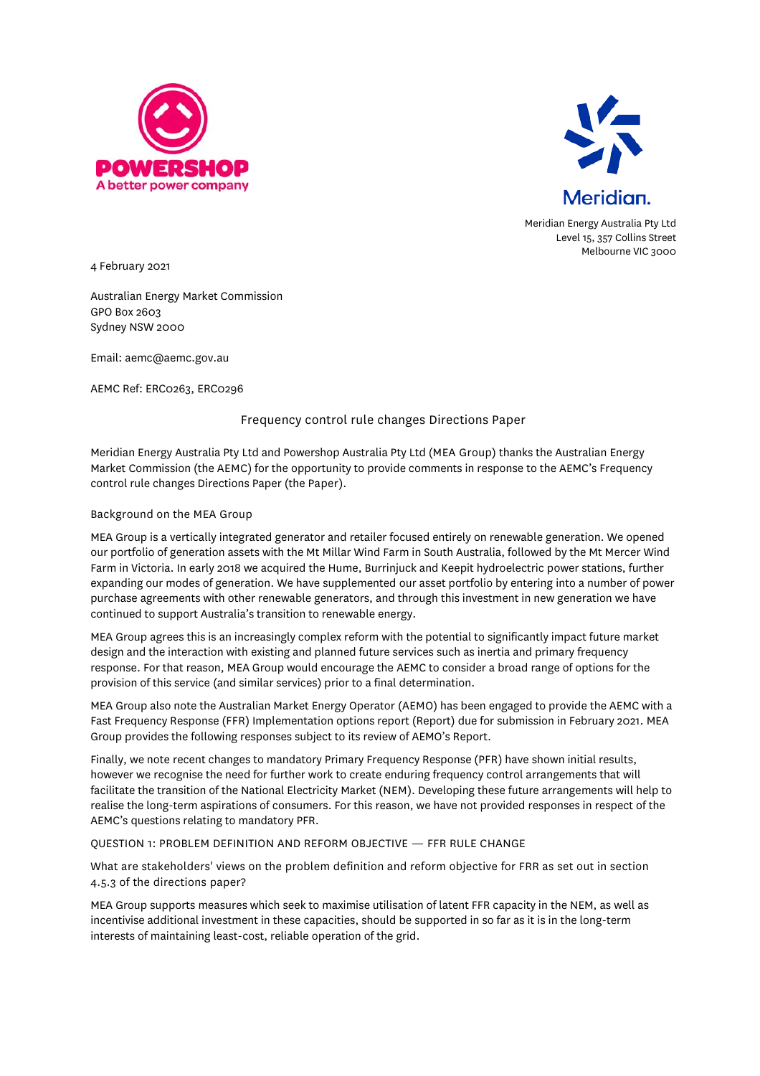



Meridian Energy Australia Pty Ltd Level 15, 357 Collins Street Melbourne VIC 3000

4 February 2021

Australian Energy Market Commission GPO Box 2603 Sydney NSW 2000

Email: aemc@aemc.gov.au

AEMC Ref: ERC0263, ERC0296

# Frequency control rule changes Directions Paper

Meridian Energy Australia Pty Ltd and Powershop Australia Pty Ltd (MEA Group) thanks the Australian Energy Market Commission (the AEMC) for the opportunity to provide comments in response to the AEMC's Frequency control rule changes Directions Paper (the Paper).

#### Background on the MEA Group

MEA Group is a vertically integrated generator and retailer focused entirely on renewable generation. We opened our portfolio of generation assets with the Mt Millar Wind Farm in South Australia, followed by the Mt Mercer Wind Farm in Victoria. In early 2018 we acquired the Hume, Burrinjuck and Keepit hydroelectric power stations, further expanding our modes of generation. We have supplemented our asset portfolio by entering into a number of power purchase agreements with other renewable generators, and through this investment in new generation we have continued to support Australia's transition to renewable energy.

MEA Group agrees this is an increasingly complex reform with the potential to significantly impact future market design and the interaction with existing and planned future services such as inertia and primary frequency response. For that reason, MEA Group would encourage the AEMC to consider a broad range of options for the provision of this service (and similar services) prior to a final determination.

MEA Group also note the Australian Market Energy Operator (AEMO) has been engaged to provide the AEMC with a Fast Frequency Response (FFR) Implementation options report (Report) due for submission in February 2021. MEA Group provides the following responses subject to its review of AEMO's Report.

Finally, we note recent changes to mandatory Primary Frequency Response (PFR) have shown initial results, however we recognise the need for further work to create enduring frequency control arrangements that will facilitate the transition of the National Electricity Market (NEM). Developing these future arrangements will help to realise the long-term aspirations of consumers. For this reason, we have not provided responses in respect of the AEMC's questions relating to mandatory PFR.

#### QUESTION 1: PROBLEM DEFINITION AND REFORM OBJECTIVE — FFR RULE CHANGE

What are stakeholders' views on the problem definition and reform objective for FRR as set out in section 4.5.3 of the directions paper?

MEA Group supports measures which seek to maximise utilisation of latent FFR capacity in the NEM, as well as incentivise additional investment in these capacities, should be supported in so far as it is in the long-term interests of maintaining least-cost, reliable operation of the grid.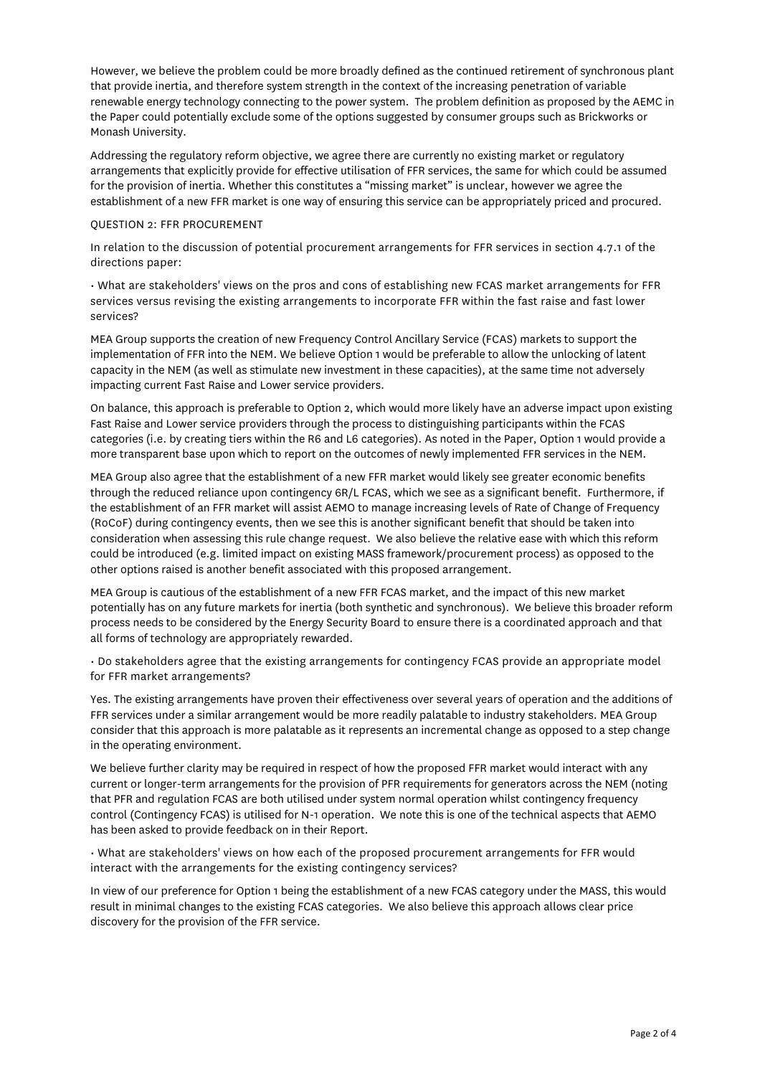However, we believe the problem could be more broadly defined as the continued retirement of synchronous plant that provide inertia, and therefore system strength in the context of the increasing penetration of variable renewable energy technology connecting to the power system. The problem definition as proposed by the AEMC in the Paper could potentially exclude some of the options suggested by consumer groups such as Brickworks or Monash University.

Addressing the regulatory reform objective, we agree there are currently no existing market or regulatory arrangements that explicitly provide for effective utilisation of FFR services, the same for which could be assumed for the provision of inertia. Whether this constitutes a "missing market" is unclear, however we agree the establishment of a new FFR market is one way of ensuring this service can be appropriately priced and procured.

### QUESTION 2: FFR PROCUREMENT

In relation to the discussion of potential procurement arrangements for FFR services in section 4.7.1 of the directions paper:

• What are stakeholders' views on the pros and cons of establishing new FCAS market arrangements for FFR services versus revising the existing arrangements to incorporate FFR within the fast raise and fast lower services?

MEA Group supports the creation of new Frequency Control Ancillary Service (FCAS) markets to support the implementation of FFR into the NEM. We believe Option 1 would be preferable to allow the unlocking of latent capacity in the NEM (as well as stimulate new investment in these capacities), at the same time not adversely impacting current Fast Raise and Lower service providers.

On balance, this approach is preferable to Option 2, which would more likely have an adverse impact upon existing Fast Raise and Lower service providers through the process to distinguishing participants within the FCAS categories (i.e. by creating tiers within the R6 and L6 categories). As noted in the Paper, Option 1 would provide a more transparent base upon which to report on the outcomes of newly implemented FFR services in the NEM.

MEA Group also agree that the establishment of a new FFR market would likely see greater economic benefits through the reduced reliance upon contingency 6R/L FCAS, which we see as a significant benefit. Furthermore, if the establishment of an FFR market will assist AEMO to manage increasing levels of Rate of Change of Frequency (RoCoF) during contingency events, then we see this is another significant benefit that should be taken into consideration when assessing this rule change request. We also believe the relative ease with which this reform could be introduced (e.g. limited impact on existing MASS framework/procurement process) as opposed to the other options raised is another benefit associated with this proposed arrangement.

MEA Group is cautious of the establishment of a new FFR FCAS market, and the impact of this new market potentially has on any future markets for inertia (both synthetic and synchronous). We believe this broader reform process needs to be considered by the Energy Security Board to ensure there is a coordinated approach and that all forms of technology are appropriately rewarded.

• Do stakeholders agree that the existing arrangements for contingency FCAS provide an appropriate model for FFR market arrangements?

Yes. The existing arrangements have proven their effectiveness over several years of operation and the additions of FFR services under a similar arrangement would be more readily palatable to industry stakeholders. MEA Group consider that this approach is more palatable as it represents an incremental change as opposed to a step change in the operating environment.

We believe further clarity may be required in respect of how the proposed FFR market would interact with any current or longer-term arrangements for the provision of PFR requirements for generators across the NEM (noting that PFR and regulation FCAS are both utilised under system normal operation whilst contingency frequency control (Contingency FCAS) is utilised for N-1 operation. We note this is one of the technical aspects that AEMO has been asked to provide feedback on in their Report.

• What are stakeholders' views on how each of the proposed procurement arrangements for FFR would interact with the arrangements for the existing contingency services?

In view of our preference for Option 1 being the establishment of a new FCAS category under the MASS, this would result in minimal changes to the existing FCAS categories. We also believe this approach allows clear price discovery for the provision of the FFR service.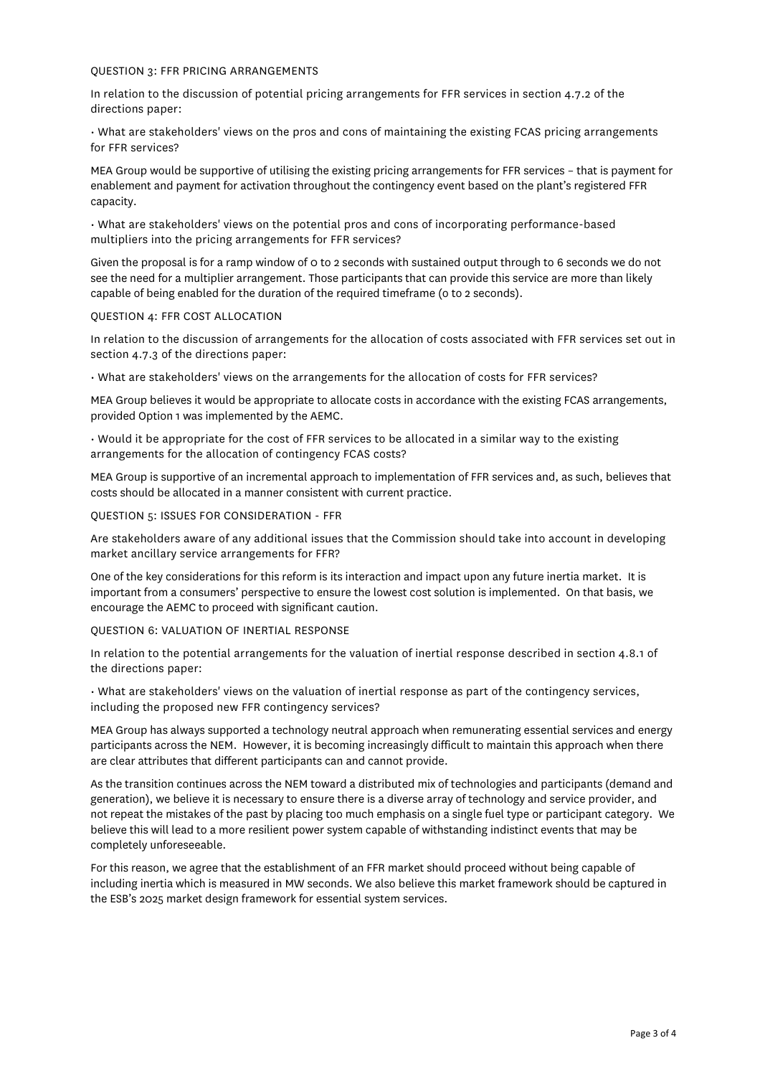#### QUESTION 3: FFR PRICING ARRANGEMENTS

In relation to the discussion of potential pricing arrangements for FFR services in section 4.7.2 of the directions paper:

• What are stakeholders' views on the pros and cons of maintaining the existing FCAS pricing arrangements for FFR services?

MEA Group would be supportive of utilising the existing pricing arrangements for FFR services – that is payment for enablement and payment for activation throughout the contingency event based on the plant's registered FFR capacity.

• What are stakeholders' views on the potential pros and cons of incorporating performance-based multipliers into the pricing arrangements for FFR services?

Given the proposal is for a ramp window of 0 to 2 seconds with sustained output through to 6 seconds we do not see the need for a multiplier arrangement. Those participants that can provide this service are more than likely capable of being enabled for the duration of the required timeframe (o to 2 seconds).

#### QUESTION 4: FFR COST ALLOCATION

In relation to the discussion of arrangements for the allocation of costs associated with FFR services set out in section 4.7.3 of the directions paper:

• What are stakeholders' views on the arrangements for the allocation of costs for FFR services?

MEA Group believes it would be appropriate to allocate costs in accordance with the existing FCAS arrangements, provided Option 1 was implemented by the AEMC.

• Would it be appropriate for the cost of FFR services to be allocated in a similar way to the existing arrangements for the allocation of contingency FCAS costs?

MEA Group is supportive of an incremental approach to implementation of FFR services and, as such, believes that costs should be allocated in a manner consistent with current practice.

## QUESTION 5: ISSUES FOR CONSIDERATION - FFR

Are stakeholders aware of any additional issues that the Commission should take into account in developing market ancillary service arrangements for FFR?

One of the key considerations for this reform is its interaction and impact upon any future inertia market. It is important from a consumers' perspective to ensure the lowest cost solution is implemented. On that basis, we encourage the AEMC to proceed with significant caution.

#### QUESTION 6: VALUATION OF INERTIAL RESPONSE

In relation to the potential arrangements for the valuation of inertial response described in section 4.8.1 of the directions paper:

• What are stakeholders' views on the valuation of inertial response as part of the contingency services, including the proposed new FFR contingency services?

MEA Group has always supported a technology neutral approach when remunerating essential services and energy participants across the NEM. However, it is becoming increasingly difficult to maintain this approach when there are clear attributes that different participants can and cannot provide.

As the transition continues across the NEM toward a distributed mix of technologies and participants (demand and generation), we believe it is necessary to ensure there is a diverse array of technology and service provider, and not repeat the mistakes of the past by placing too much emphasis on a single fuel type or participant category. We believe this will lead to a more resilient power system capable of withstanding indistinct events that may be completely unforeseeable.

For this reason, we agree that the establishment of an FFR market should proceed without being capable of including inertia which is measured in MW seconds. We also believe this market framework should be captured in the ESB's 2025 market design framework for essential system services.